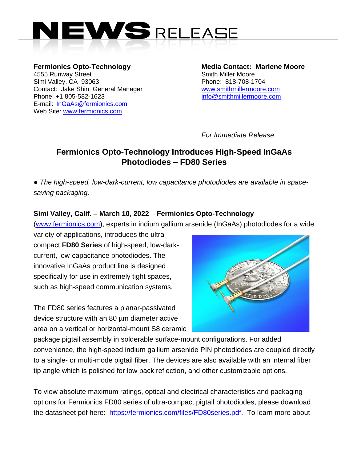

**Fermionics Opto-Technology Media Contact: Marlene Moore** Absolution Street Assembly Smith Miller Moore Simi Valley, CA 93063 Phone: 818-708-1704 Contact: Jake Shin, General Manager [www.smithmillermoore.com](http://www.smithmillermoore.com/) Phone: +1 805-582-1623 [info@smithmillermoore.com](mailto:info@smithmillermoore.com) E-mail: [InGaAs@fermionics.com](mailto:InGaAs@fermionics.com) Web Site: [www.fermionics.com](http://www.fermionics.com/)

*For Immediate Release*

## **Fermionics Opto-Technology Introduces High-Speed InGaAs Photodiodes – FD80 Series**

*● The high-speed, low-dark-current, low capacitance photodiodes are available in spacesaving packaging.*

## **Simi Valley, Calif. – March 10, 2022** – **Fermionics Opto-Technology**

[\(www.fermionics.com\)](http://www.fermionics.com/), experts in indium gallium arsenide (InGaAs) photodiodes for a wide

variety of applications, introduces the ultracompact **FD80 Series** of high-speed, low-darkcurrent, low-capacitance photodiodes. The innovative InGaAs product line is designed specifically for use in extremely tight spaces, such as high-speed communication systems.

The FD80 series features a planar-passivated device structure with an 80 µm diameter active area on a vertical or horizontal-mount S8 ceramic



package pigtail assembly in solderable surface-mount configurations. For added convenience, the high-speed indium gallium arsenide PIN photodiodes are coupled directly to a single- or multi-mode pigtail fiber. The devices are also available with an internal fiber tip angle which is polished for low back reflection, and other customizable options.

To view absolute maximum ratings, optical and electrical characteristics and packaging options for Fermionics FD80 series of ultra-compact pigtail photodiodes, please download the datasheet pdf here: [https://fermionics.com/files/FD80series.pdf.](https://fermionics.com/files/FD80series.pdf) To learn more about